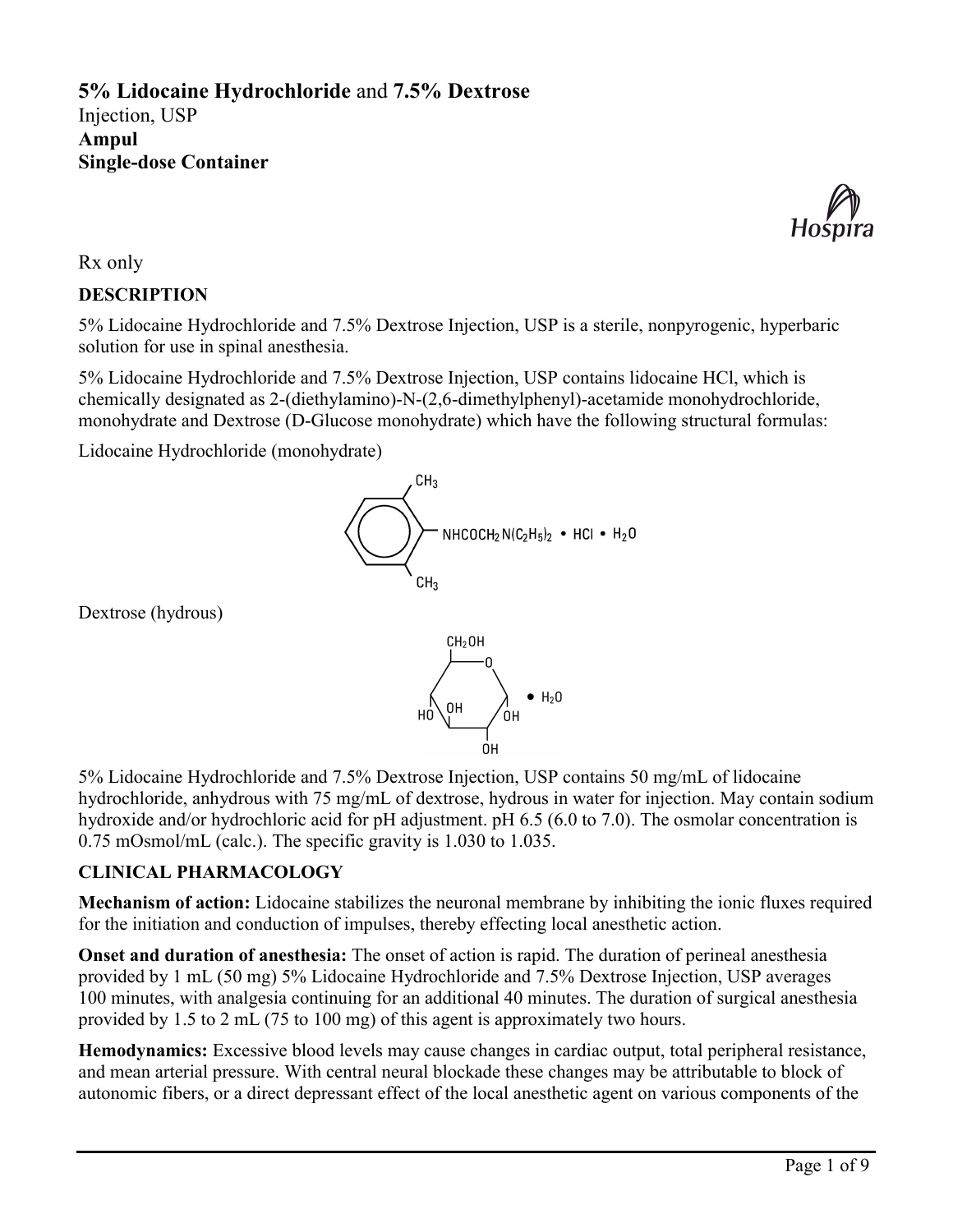# **5% Lidocaine Hydrochloride** and **7.5% Dextrose** Injection, USP **Ampul Single-dose Container**



Rx only

# **DESCRIPTION**

5% Lidocaine Hydrochloride and 7.5% Dextrose Injection, USP is a sterile, nonpyrogenic, hyperbaric solution for use in spinal anesthesia.

5% Lidocaine Hydrochloride and 7.5% Dextrose Injection, USP contains lidocaine HCl, which is chemically designated as 2-(diethylamino)-N-(2,6-dimethylphenyl)-acetamide monohydrochloride, monohydrate and Dextrose (D-Glucose monohydrate) which have the following structural formulas:

Lidocaine Hydrochloride (monohydrate)



Dextrose (hydrous)



5% Lidocaine Hydrochloride and 7.5% Dextrose Injection, USP contains 50 mg/mL of lidocaine hydrochloride, anhydrous with 75 mg/mL of dextrose, hydrous in water for injection. May contain sodium hydroxide and/or hydrochloric acid for pH adjustment. pH 6.5 (6.0 to 7.0). The osmolar concentration is 0.75 mOsmol/mL (calc.). The specific gravity is 1.030 to 1.035.

# **CLINICAL PHARMACOLOGY**

**Mechanism of action:** Lidocaine stabilizes the neuronal membrane by inhibiting the ionic fluxes required for the initiation and conduction of impulses, thereby effecting local anesthetic action.

**Onset and duration of anesthesia:** The onset of action is rapid. The duration of perineal anesthesia provided by 1 mL (50 mg) 5% Lidocaine Hydrochloride and 7.5% Dextrose Injection, USP averages 100 minutes, with analgesia continuing for an additional 40 minutes. The duration of surgical anesthesia provided by 1.5 to 2 mL (75 to 100 mg) of this agent is approximately two hours.

**Hemodynamics:** Excessive blood levels may cause changes in cardiac output, total peripheral resistance, and mean arterial pressure. With central neural blockade these changes may be attributable to block of autonomic fibers, or a direct depressant effect of the local anesthetic agent on various components of the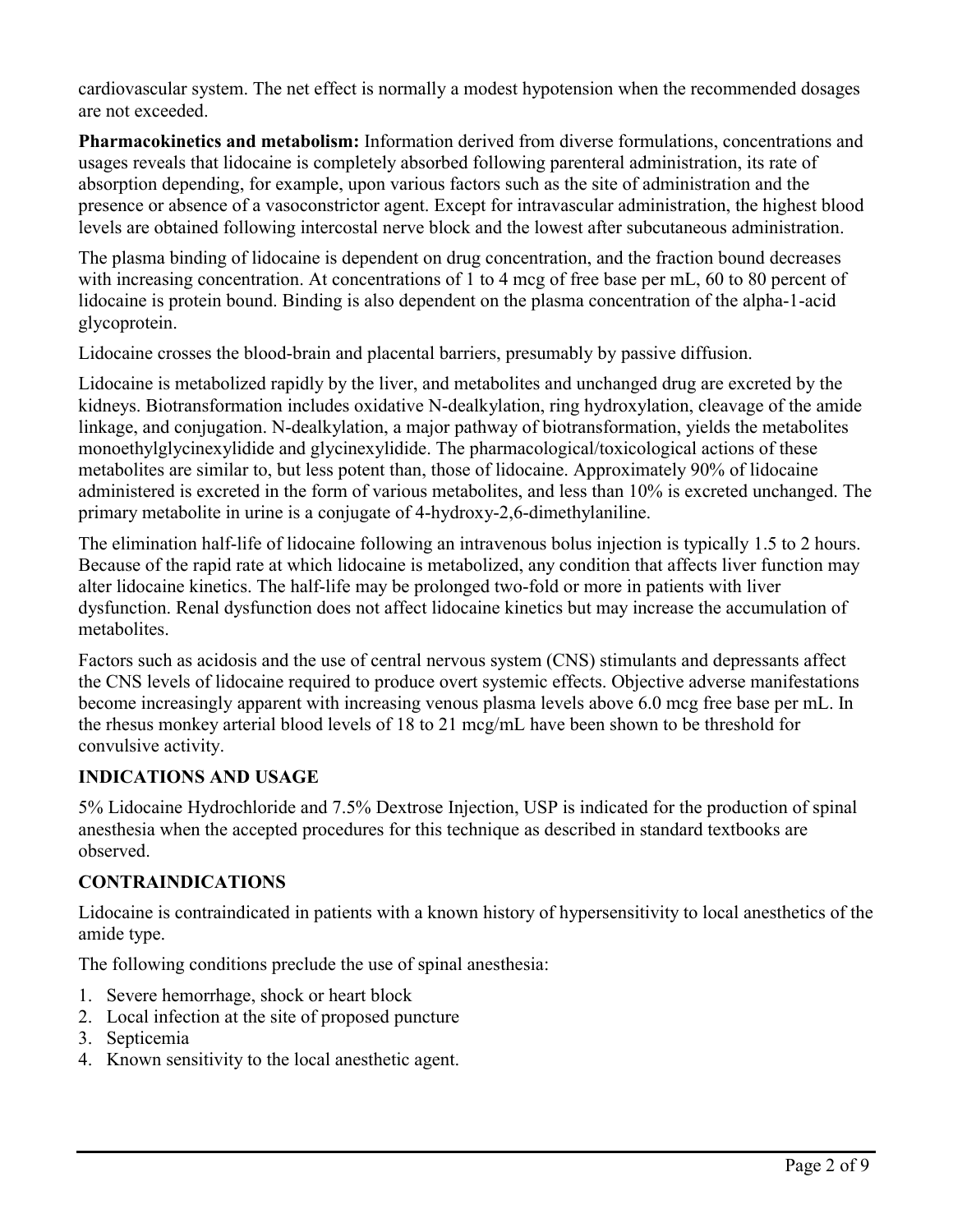cardiovascular system. The net effect is normally a modest hypotension when the recommended dosages are not exceeded.

**Pharmacokinetics and metabolism:** Information derived from diverse formulations, concentrations and usages reveals that lidocaine is completely absorbed following parenteral administration, its rate of absorption depending, for example, upon various factors such as the site of administration and the presence or absence of a vasoconstrictor agent. Except for intravascular administration, the highest blood levels are obtained following intercostal nerve block and the lowest after subcutaneous administration.

The plasma binding of lidocaine is dependent on drug concentration, and the fraction bound decreases with increasing concentration. At concentrations of 1 to 4 mcg of free base per mL, 60 to 80 percent of lidocaine is protein bound. Binding is also dependent on the plasma concentration of the alpha-1-acid glycoprotein.

Lidocaine crosses the blood-brain and placental barriers, presumably by passive diffusion.

Lidocaine is metabolized rapidly by the liver, and metabolites and unchanged drug are excreted by the kidneys. Biotransformation includes oxidative N-dealkylation, ring hydroxylation, cleavage of the amide linkage, and conjugation. N-dealkylation, a major pathway of biotransformation, yields the metabolites monoethylglycinexylidide and glycinexylidide. The pharmacological/toxicological actions of these metabolites are similar to, but less potent than, those of lidocaine. Approximately 90% of lidocaine administered is excreted in the form of various metabolites, and less than 10% is excreted unchanged. The primary metabolite in urine is a conjugate of 4-hydroxy-2,6-dimethylaniline.

The elimination half-life of lidocaine following an intravenous bolus injection is typically 1.5 to 2 hours. Because of the rapid rate at which lidocaine is metabolized, any condition that affects liver function may alter lidocaine kinetics. The half-life may be prolonged two-fold or more in patients with liver dysfunction. Renal dysfunction does not affect lidocaine kinetics but may increase the accumulation of metabolites.

Factors such as acidosis and the use of central nervous system (CNS) stimulants and depressants affect the CNS levels of lidocaine required to produce overt systemic effects. Objective adverse manifestations become increasingly apparent with increasing venous plasma levels above 6.0 mcg free base per mL. In the rhesus monkey arterial blood levels of 18 to 21 mcg/mL have been shown to be threshold for convulsive activity.

# **INDICATIONS AND USAGE**

5% Lidocaine Hydrochloride and 7.5% Dextrose Injection, USP is indicated for the production of spinal anesthesia when the accepted procedures for this technique as described in standard textbooks are observed.

# **CONTRAINDICATIONS**

Lidocaine is contraindicated in patients with a known history of hypersensitivity to local anesthetics of the amide type.

The following conditions preclude the use of spinal anesthesia:

- 1. Severe hemorrhage, shock or heart block
- 2. Local infection at the site of proposed puncture
- 3. Septicemia
- 4. Known sensitivity to the local anesthetic agent.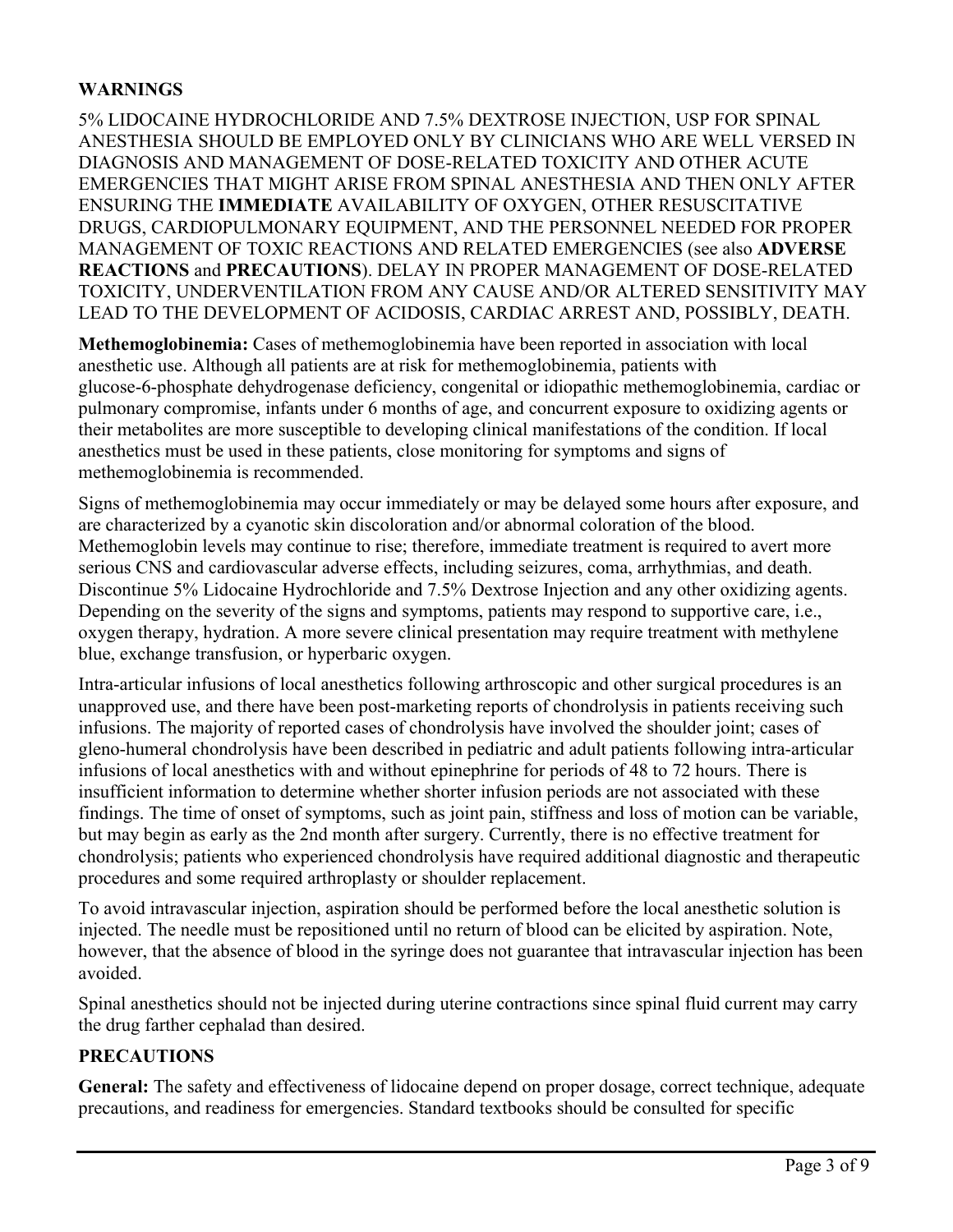#### **WARNINGS**

5% LIDOCAINE HYDROCHLORIDE AND 7.5% DEXTROSE INJECTION, USP FOR SPINAL ANESTHESIA SHOULD BE EMPLOYED ONLY BY CLINICIANS WHO ARE WELL VERSED IN DIAGNOSIS AND MANAGEMENT OF DOSE-RELATED TOXICITY AND OTHER ACUTE EMERGENCIES THAT MIGHT ARISE FROM SPINAL ANESTHESIA AND THEN ONLY AFTER ENSURING THE **IMMEDIATE** AVAILABILITY OF OXYGEN, OTHER RESUSCITATIVE DRUGS, CARDIOPULMONARY EQUIPMENT, AND THE PERSONNEL NEEDED FOR PROPER MANAGEMENT OF TOXIC REACTIONS AND RELATED EMERGENCIES (see also **ADVERSE REACTIONS** and **PRECAUTIONS**). DELAY IN PROPER MANAGEMENT OF DOSE-RELATED TOXICITY, UNDERVENTILATION FROM ANY CAUSE AND/OR ALTERED SENSITIVITY MAY LEAD TO THE DEVELOPMENT OF ACIDOSIS, CARDIAC ARREST AND, POSSIBLY, DEATH.

**Methemoglobinemia:** Cases of methemoglobinemia have been reported in association with local anesthetic use. Although all patients are at risk for methemoglobinemia, patients with glucose-6-phosphate dehydrogenase deficiency, congenital or idiopathic methemoglobinemia, cardiac or pulmonary compromise, infants under 6 months of age, and concurrent exposure to oxidizing agents or their metabolites are more susceptible to developing clinical manifestations of the condition. If local anesthetics must be used in these patients, close monitoring for symptoms and signs of methemoglobinemia is recommended.

Signs of methemoglobinemia may occur immediately or may be delayed some hours after exposure, and are characterized by a cyanotic skin discoloration and/or abnormal coloration of the blood. Methemoglobin levels may continue to rise; therefore, immediate treatment is required to avert more serious CNS and cardiovascular adverse effects, including seizures, coma, arrhythmias, and death. Discontinue 5% Lidocaine Hydrochloride and 7.5% Dextrose Injection and any other oxidizing agents. Depending on the severity of the signs and symptoms, patients may respond to supportive care, i.e., oxygen therapy, hydration. A more severe clinical presentation may require treatment with methylene blue, exchange transfusion, or hyperbaric oxygen.

Intra-articular infusions of local anesthetics following arthroscopic and other surgical procedures is an unapproved use, and there have been post-marketing reports of chondrolysis in patients receiving such infusions. The majority of reported cases of chondrolysis have involved the shoulder joint; cases of gleno-humeral chondrolysis have been described in pediatric and adult patients following intra-articular infusions of local anesthetics with and without epinephrine for periods of 48 to 72 hours. There is insufficient information to determine whether shorter infusion periods are not associated with these findings. The time of onset of symptoms, such as joint pain, stiffness and loss of motion can be variable, but may begin as early as the 2nd month after surgery. Currently, there is no effective treatment for chondrolysis; patients who experienced chondrolysis have required additional diagnostic and therapeutic procedures and some required arthroplasty or shoulder replacement.

To avoid intravascular injection, aspiration should be performed before the local anesthetic solution is injected. The needle must be repositioned until no return of blood can be elicited by aspiration. Note, however, that the absence of blood in the syringe does not guarantee that intravascular injection has been avoided.

Spinal anesthetics should not be injected during uterine contractions since spinal fluid current may carry the drug farther cephalad than desired.

#### **PRECAUTIONS**

**General:** The safety and effectiveness of lidocaine depend on proper dosage, correct technique, adequate precautions, and readiness for emergencies. Standard textbooks should be consulted for specific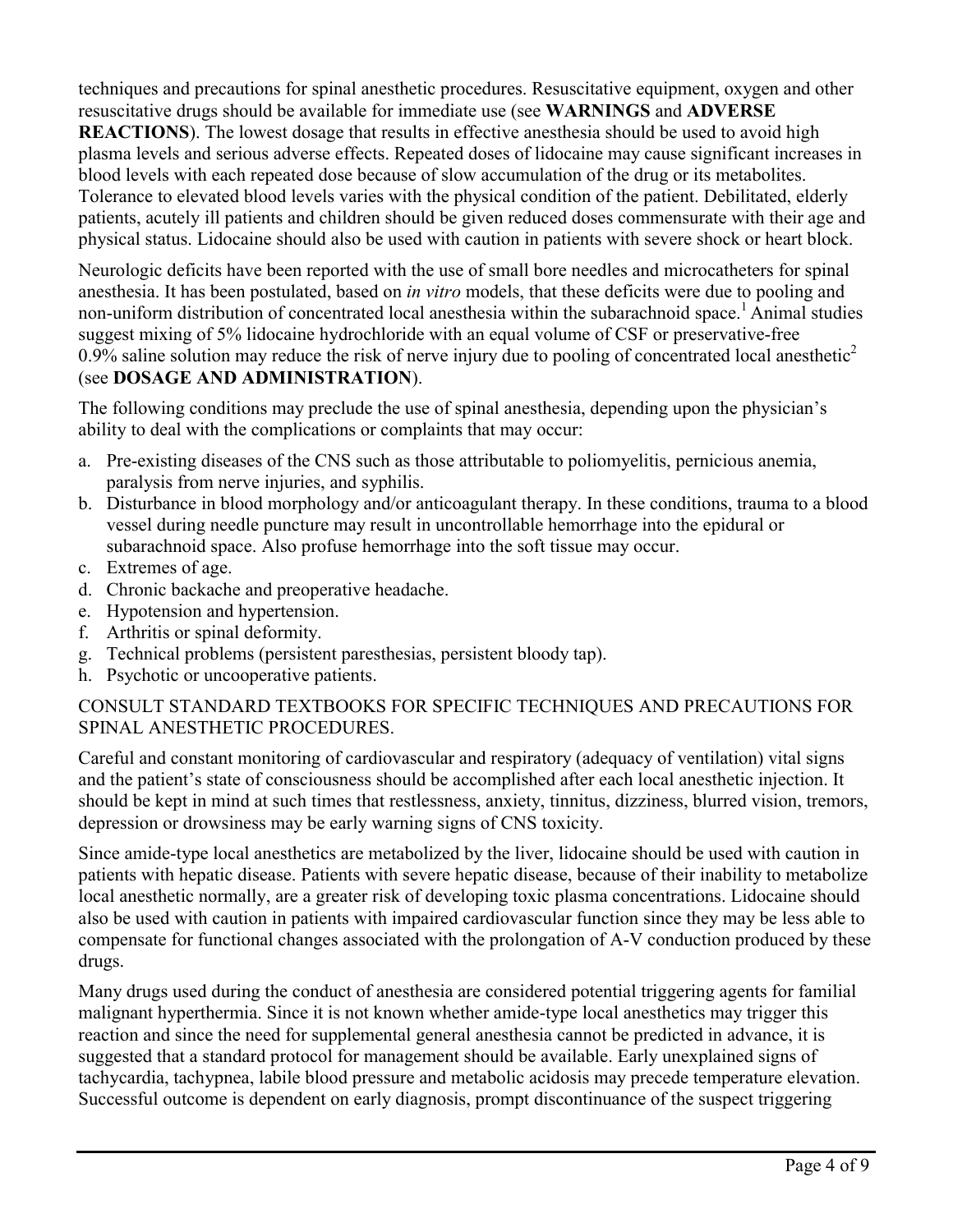techniques and precautions for spinal anesthetic procedures. Resuscitative equipment, oxygen and other resuscitative drugs should be available for immediate use (see **WARNINGS** and **ADVERSE REACTIONS**). The lowest dosage that results in effective anesthesia should be used to avoid high plasma levels and serious adverse effects. Repeated doses of lidocaine may cause significant increases in blood levels with each repeated dose because of slow accumulation of the drug or its metabolites. Tolerance to elevated blood levels varies with the physical condition of the patient. Debilitated, elderly patients, acutely ill patients and children should be given reduced doses commensurate with their age and physical status. Lidocaine should also be used with caution in patients with severe shock or heart block.

Neurologic deficits have been reported with the use of small bore needles and microcatheters for spinal anesthesia. It has been postulated, based on *in vitro* models, that these deficits were due to pooling and non-uniform distribution of concentrated local anesthesia within the subarachnoid space.<sup>1</sup> Animal studies suggest mixing of 5% lidocaine hydrochloride with an equal volume of CSF or preservative-free 0.9% saline solution may reduce the risk of nerve injury due to pooling of concentrated local anesthetic<sup>2</sup> (see **DOSAGE AND ADMINISTRATION**).

The following conditions may preclude the use of spinal anesthesia, depending upon the physician's ability to deal with the complications or complaints that may occur:

- a. Pre-existing diseases of the CNS such as those attributable to poliomyelitis, pernicious anemia, paralysis from nerve injuries, and syphilis.
- b. Disturbance in blood morphology and/or anticoagulant therapy. In these conditions, trauma to a blood vessel during needle puncture may result in uncontrollable hemorrhage into the epidural or subarachnoid space. Also profuse hemorrhage into the soft tissue may occur.
- c. Extremes of age.
- d. Chronic backache and preoperative headache.
- e. Hypotension and hypertension.
- f. Arthritis or spinal deformity.
- g. Technical problems (persistent paresthesias, persistent bloody tap).
- h. Psychotic or uncooperative patients.

#### CONSULT STANDARD TEXTBOOKS FOR SPECIFIC TECHNIQUES AND PRECAUTIONS FOR SPINAL ANESTHETIC PROCEDURES.

Careful and constant monitoring of cardiovascular and respiratory (adequacy of ventilation) vital signs and the patient's state of consciousness should be accomplished after each local anesthetic injection. It should be kept in mind at such times that restlessness, anxiety, tinnitus, dizziness, blurred vision, tremors, depression or drowsiness may be early warning signs of CNS toxicity.

Since amide-type local anesthetics are metabolized by the liver, lidocaine should be used with caution in patients with hepatic disease. Patients with severe hepatic disease, because of their inability to metabolize local anesthetic normally, are a greater risk of developing toxic plasma concentrations. Lidocaine should also be used with caution in patients with impaired cardiovascular function since they may be less able to compensate for functional changes associated with the prolongation of A-V conduction produced by these drugs.

Many drugs used during the conduct of anesthesia are considered potential triggering agents for familial malignant hyperthermia. Since it is not known whether amide-type local anesthetics may trigger this reaction and since the need for supplemental general anesthesia cannot be predicted in advance, it is suggested that a standard protocol for management should be available. Early unexplained signs of tachycardia, tachypnea, labile blood pressure and metabolic acidosis may precede temperature elevation. Successful outcome is dependent on early diagnosis, prompt discontinuance of the suspect triggering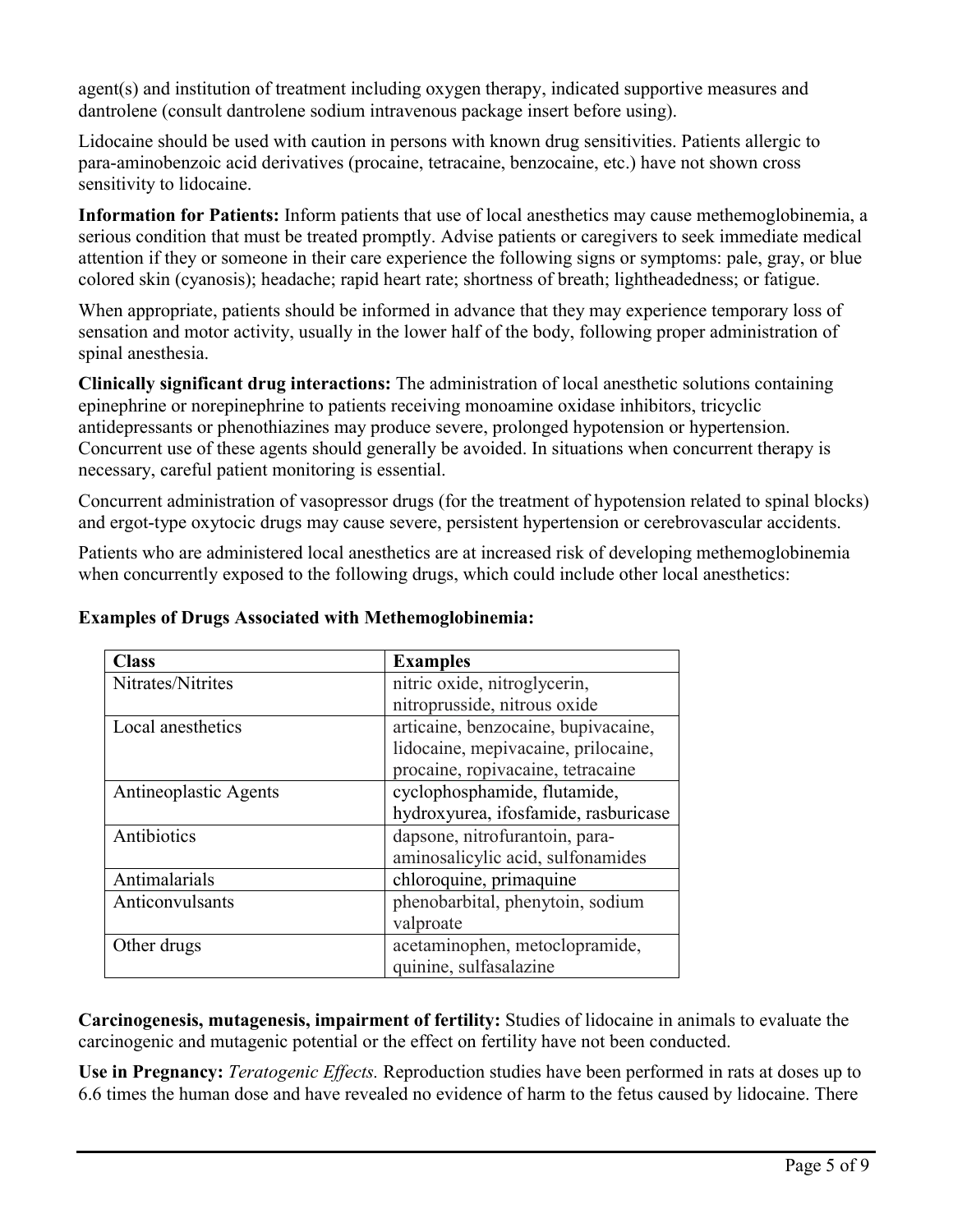agent(s) and institution of treatment including oxygen therapy, indicated supportive measures and dantrolene (consult dantrolene sodium intravenous package insert before using).

Lidocaine should be used with caution in persons with known drug sensitivities. Patients allergic to para-aminobenzoic acid derivatives (procaine, tetracaine, benzocaine, etc.) have not shown cross sensitivity to lidocaine.

**Information for Patients:** Inform patients that use of local anesthetics may cause methemoglobinemia, a serious condition that must be treated promptly. Advise patients or caregivers to seek immediate medical attention if they or someone in their care experience the following signs or symptoms: pale, gray, or blue colored skin (cyanosis); headache; rapid heart rate; shortness of breath; lightheadedness; or fatigue.

When appropriate, patients should be informed in advance that they may experience temporary loss of sensation and motor activity, usually in the lower half of the body, following proper administration of spinal anesthesia.

**Clinically significant drug interactions:** The administration of local anesthetic solutions containing epinephrine or norepinephrine to patients receiving monoamine oxidase inhibitors, tricyclic antidepressants or phenothiazines may produce severe, prolonged hypotension or hypertension. Concurrent use of these agents should generally be avoided. In situations when concurrent therapy is necessary, careful patient monitoring is essential.

Concurrent administration of vasopressor drugs (for the treatment of hypotension related to spinal blocks) and ergot-type oxytocic drugs may cause severe, persistent hypertension or cerebrovascular accidents.

Patients who are administered local anesthetics are at increased risk of developing methemoglobinemia when concurrently exposed to the following drugs, which could include other local anesthetics:

| <b>Class</b>          | <b>Examples</b>                      |  |
|-----------------------|--------------------------------------|--|
| Nitrates/Nitrites     | nitric oxide, nitroglycerin,         |  |
|                       | nitroprusside, nitrous oxide         |  |
| Local anesthetics     | articaine, benzocaine, bupivacaine,  |  |
|                       | lidocaine, mepivacaine, prilocaine,  |  |
|                       | procaine, ropivacaine, tetracaine    |  |
| Antineoplastic Agents | cyclophosphamide, flutamide,         |  |
|                       | hydroxyurea, ifosfamide, rasburicase |  |
| Antibiotics           | dapsone, nitrofurantoin, para-       |  |
|                       | aminosalicylic acid, sulfonamides    |  |
| Antimalarials         | chloroquine, primaquine              |  |
| Anticonvulsants       | phenobarbital, phenytoin, sodium     |  |
|                       | valproate                            |  |
| Other drugs           | acetaminophen, metoclopramide,       |  |
|                       | quinine, sulfasalazine               |  |

#### **Examples of Drugs Associated with Methemoglobinemia:**

**Carcinogenesis, mutagenesis, impairment of fertility:** Studies of lidocaine in animals to evaluate the carcinogenic and mutagenic potential or the effect on fertility have not been conducted.

**Use in Pregnancy:** *Teratogenic Effects.* Reproduction studies have been performed in rats at doses up to 6.6 times the human dose and have revealed no evidence of harm to the fetus caused by lidocaine. There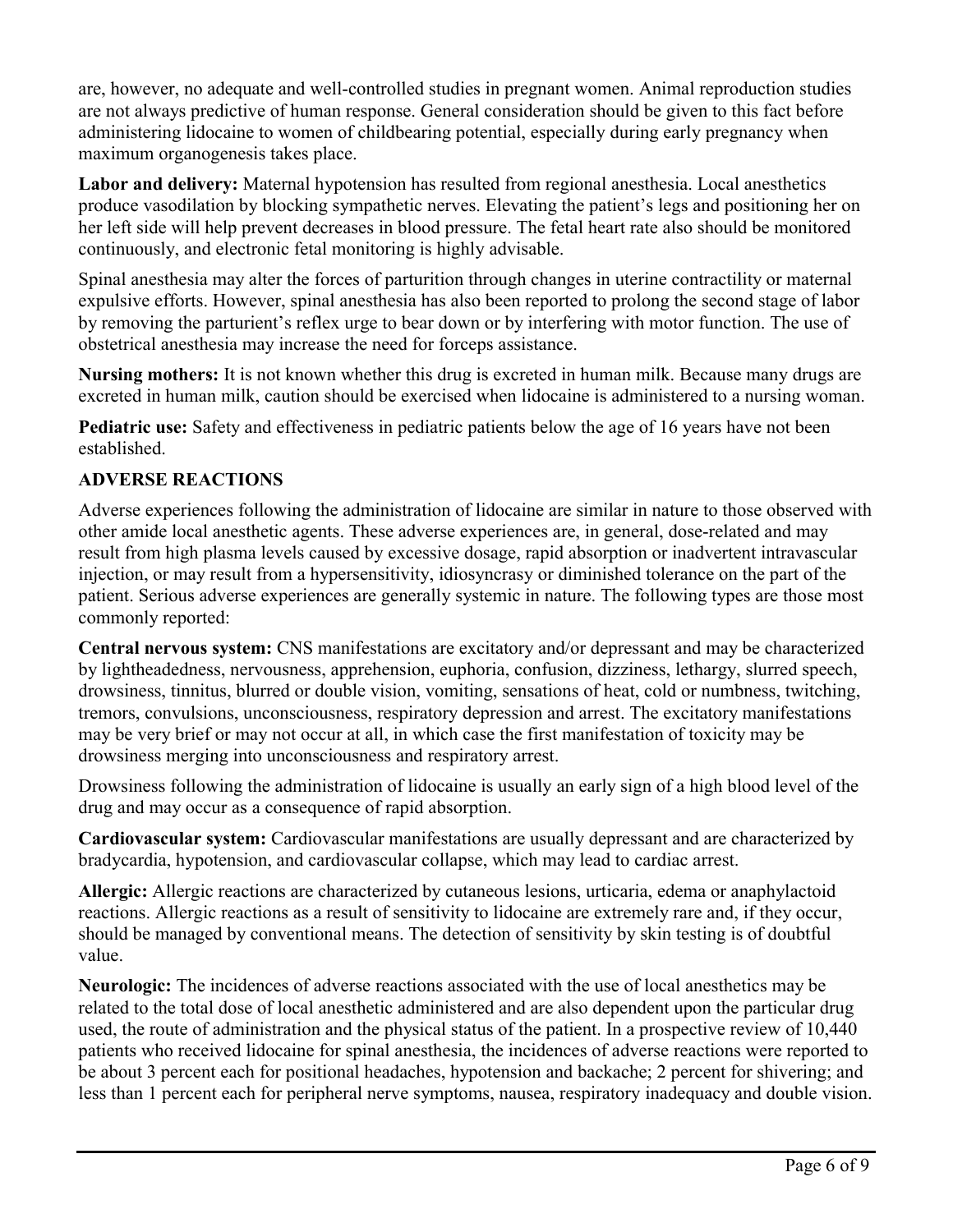are, however, no adequate and well-controlled studies in pregnant women. Animal reproduction studies are not always predictive of human response. General consideration should be given to this fact before administering lidocaine to women of childbearing potential, especially during early pregnancy when maximum organogenesis takes place.

**Labor and delivery:** Maternal hypotension has resulted from regional anesthesia. Local anesthetics produce vasodilation by blocking sympathetic nerves. Elevating the patient's legs and positioning her on her left side will help prevent decreases in blood pressure. The fetal heart rate also should be monitored continuously, and electronic fetal monitoring is highly advisable.

Spinal anesthesia may alter the forces of parturition through changes in uterine contractility or maternal expulsive efforts. However, spinal anesthesia has also been reported to prolong the second stage of labor by removing the parturient's reflex urge to bear down or by interfering with motor function. The use of obstetrical anesthesia may increase the need for forceps assistance.

**Nursing mothers:** It is not known whether this drug is excreted in human milk. Because many drugs are excreted in human milk, caution should be exercised when lidocaine is administered to a nursing woman.

**Pediatric use:** Safety and effectiveness in pediatric patients below the age of 16 years have not been established.

#### **ADVERSE REACTIONS**

Adverse experiences following the administration of lidocaine are similar in nature to those observed with other amide local anesthetic agents. These adverse experiences are, in general, dose-related and may result from high plasma levels caused by excessive dosage, rapid absorption or inadvertent intravascular injection, or may result from a hypersensitivity, idiosyncrasy or diminished tolerance on the part of the patient. Serious adverse experiences are generally systemic in nature. The following types are those most commonly reported:

**Central nervous system:** CNS manifestations are excitatory and/or depressant and may be characterized by lightheadedness, nervousness, apprehension, euphoria, confusion, dizziness, lethargy, slurred speech, drowsiness, tinnitus, blurred or double vision, vomiting, sensations of heat, cold or numbness, twitching, tremors, convulsions, unconsciousness, respiratory depression and arrest. The excitatory manifestations may be very brief or may not occur at all, in which case the first manifestation of toxicity may be drowsiness merging into unconsciousness and respiratory arrest.

Drowsiness following the administration of lidocaine is usually an early sign of a high blood level of the drug and may occur as a consequence of rapid absorption.

**Cardiovascular system:** Cardiovascular manifestations are usually depressant and are characterized by bradycardia, hypotension, and cardiovascular collapse, which may lead to cardiac arrest.

**Allergic:** Allergic reactions are characterized by cutaneous lesions, urticaria, edema or anaphylactoid reactions. Allergic reactions as a result of sensitivity to lidocaine are extremely rare and, if they occur, should be managed by conventional means. The detection of sensitivity by skin testing is of doubtful value.

**Neurologic:** The incidences of adverse reactions associated with the use of local anesthetics may be related to the total dose of local anesthetic administered and are also dependent upon the particular drug used, the route of administration and the physical status of the patient. In a prospective review of 10,440 patients who received lidocaine for spinal anesthesia, the incidences of adverse reactions were reported to be about 3 percent each for positional headaches, hypotension and backache; 2 percent for shivering; and less than 1 percent each for peripheral nerve symptoms, nausea, respiratory inadequacy and double vision.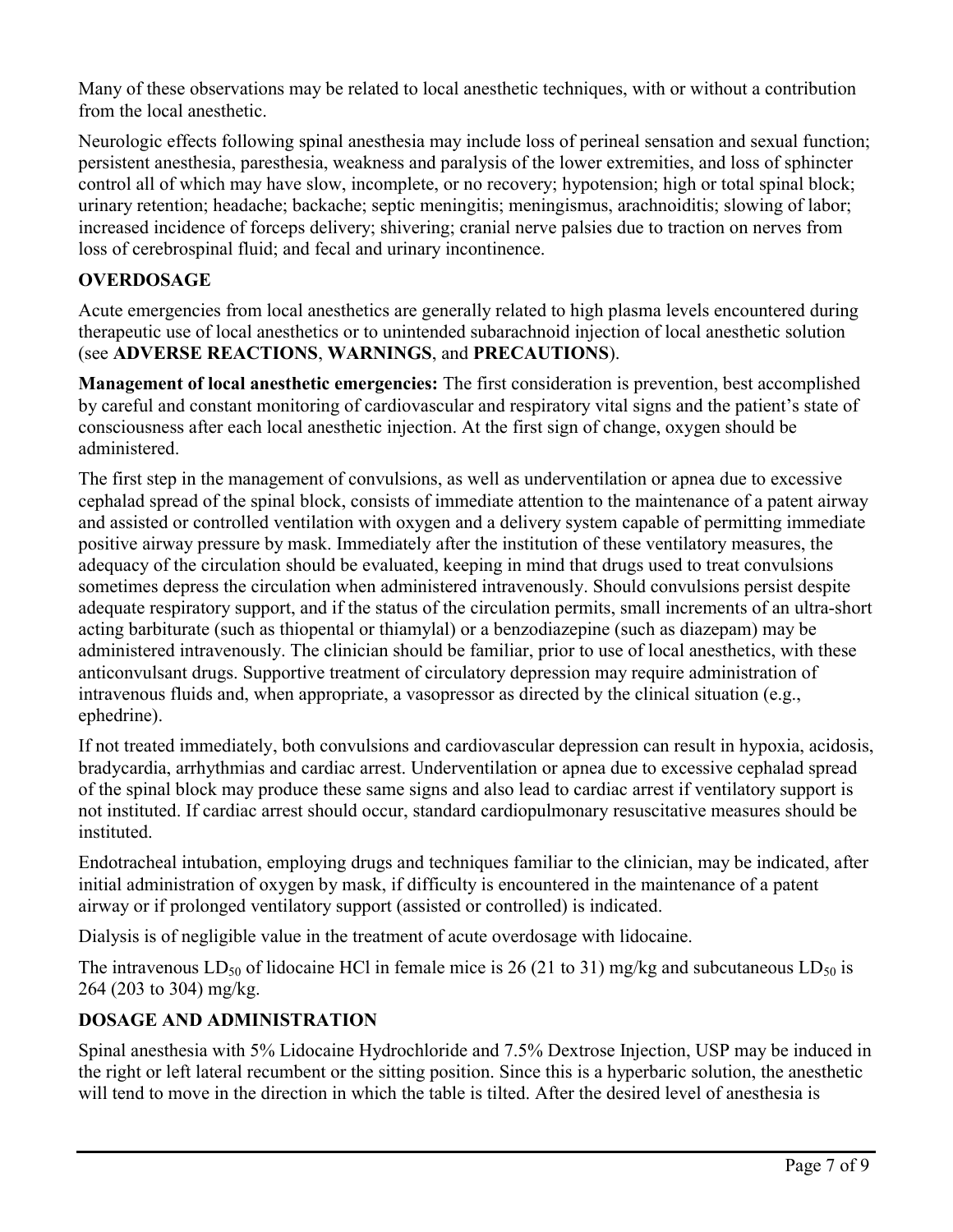Many of these observations may be related to local anesthetic techniques, with or without a contribution from the local anesthetic.

Neurologic effects following spinal anesthesia may include loss of perineal sensation and sexual function; persistent anesthesia, paresthesia, weakness and paralysis of the lower extremities, and loss of sphincter control all of which may have slow, incomplete, or no recovery; hypotension; high or total spinal block; urinary retention; headache; backache; septic meningitis; meningismus, arachnoiditis; slowing of labor; increased incidence of forceps delivery; shivering; cranial nerve palsies due to traction on nerves from loss of cerebrospinal fluid; and fecal and urinary incontinence.

# **OVERDOSAGE**

Acute emergencies from local anesthetics are generally related to high plasma levels encountered during therapeutic use of local anesthetics or to unintended subarachnoid injection of local anesthetic solution (see **ADVERSE REACTIONS**, **WARNINGS**, and **PRECAUTIONS**).

**Management of local anesthetic emergencies:** The first consideration is prevention, best accomplished by careful and constant monitoring of cardiovascular and respiratory vital signs and the patient's state of consciousness after each local anesthetic injection. At the first sign of change, oxygen should be administered.

The first step in the management of convulsions, as well as underventilation or apnea due to excessive cephalad spread of the spinal block, consists of immediate attention to the maintenance of a patent airway and assisted or controlled ventilation with oxygen and a delivery system capable of permitting immediate positive airway pressure by mask. Immediately after the institution of these ventilatory measures, the adequacy of the circulation should be evaluated, keeping in mind that drugs used to treat convulsions sometimes depress the circulation when administered intravenously. Should convulsions persist despite adequate respiratory support, and if the status of the circulation permits, small increments of an ultra-short acting barbiturate (such as thiopental or thiamylal) or a benzodiazepine (such as diazepam) may be administered intravenously. The clinician should be familiar, prior to use of local anesthetics, with these anticonvulsant drugs. Supportive treatment of circulatory depression may require administration of intravenous fluids and, when appropriate, a vasopressor as directed by the clinical situation (e.g., ephedrine).

If not treated immediately, both convulsions and cardiovascular depression can result in hypoxia, acidosis, bradycardia, arrhythmias and cardiac arrest. Underventilation or apnea due to excessive cephalad spread of the spinal block may produce these same signs and also lead to cardiac arrest if ventilatory support is not instituted. If cardiac arrest should occur, standard cardiopulmonary resuscitative measures should be instituted.

Endotracheal intubation, employing drugs and techniques familiar to the clinician, may be indicated, after initial administration of oxygen by mask, if difficulty is encountered in the maintenance of a patent airway or if prolonged ventilatory support (assisted or controlled) is indicated.

Dialysis is of negligible value in the treatment of acute overdosage with lidocaine.

The intravenous  $LD_{50}$  of lidocaine HCl in female mice is 26 (21 to 31) mg/kg and subcutaneous  $LD_{50}$  is 264 (203 to 304) mg/kg.

# **DOSAGE AND ADMINISTRATION**

Spinal anesthesia with 5% Lidocaine Hydrochloride and 7.5% Dextrose Injection, USP may be induced in the right or left lateral recumbent or the sitting position. Since this is a hyperbaric solution, the anesthetic will tend to move in the direction in which the table is tilted. After the desired level of anesthesia is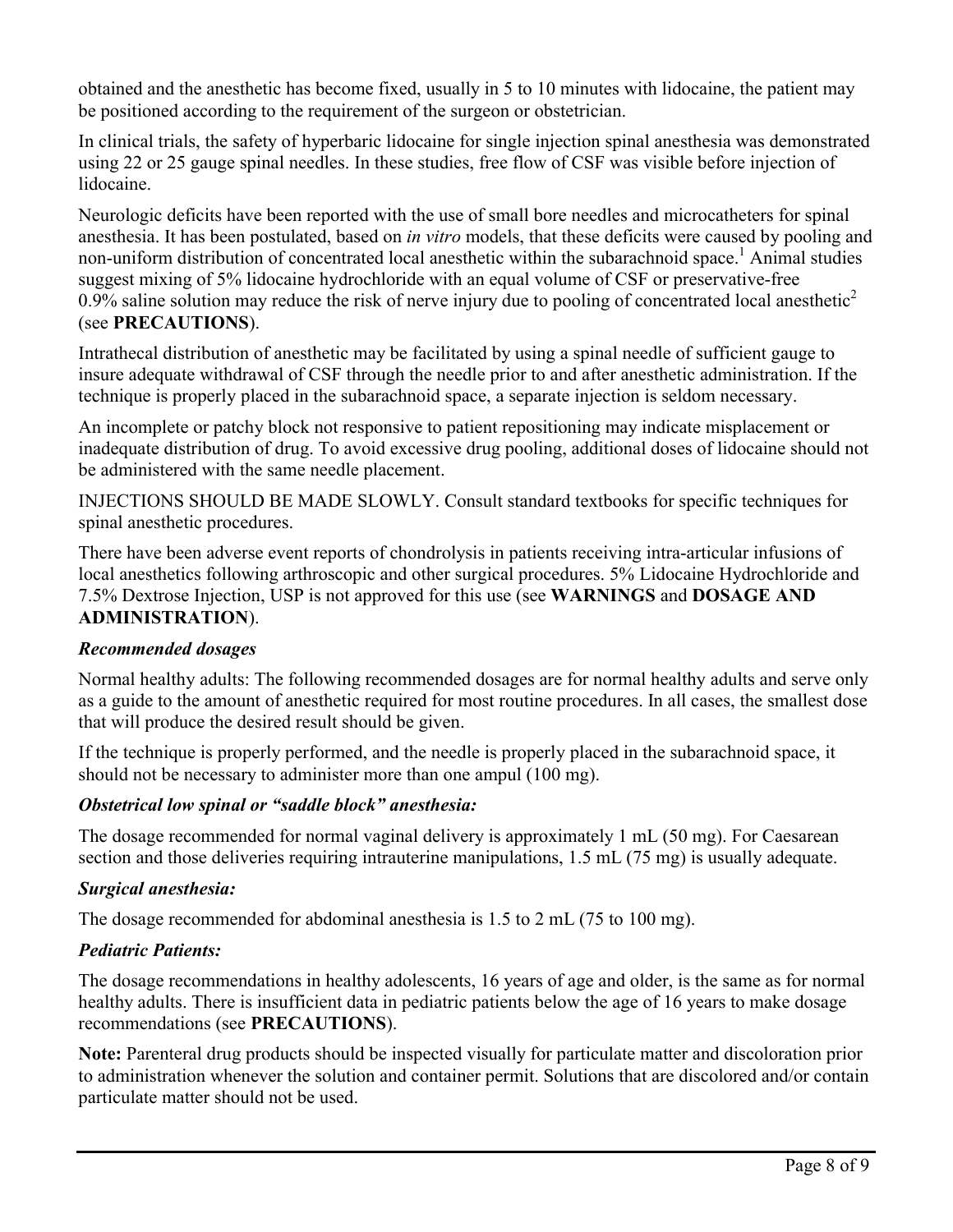obtained and the anesthetic has become fixed, usually in 5 to 10 minutes with lidocaine, the patient may be positioned according to the requirement of the surgeon or obstetrician.

In clinical trials, the safety of hyperbaric lidocaine for single injection spinal anesthesia was demonstrated using 22 or 25 gauge spinal needles. In these studies, free flow of CSF was visible before injection of lidocaine.

Neurologic deficits have been reported with the use of small bore needles and microcatheters for spinal anesthesia. It has been postulated, based on *in vitro* models, that these deficits were caused by pooling and non-uniform distribution of concentrated local anesthetic within the subarachnoid space.<sup>1</sup> Animal studies suggest mixing of 5% lidocaine hydrochloride with an equal volume of CSF or preservative-free 0.9% saline solution may reduce the risk of nerve injury due to pooling of concentrated local anesthetic<sup>2</sup> (see **PRECAUTIONS**).

Intrathecal distribution of anesthetic may be facilitated by using a spinal needle of sufficient gauge to insure adequate withdrawal of CSF through the needle prior to and after anesthetic administration. If the technique is properly placed in the subarachnoid space, a separate injection is seldom necessary.

An incomplete or patchy block not responsive to patient repositioning may indicate misplacement or inadequate distribution of drug. To avoid excessive drug pooling, additional doses of lidocaine should not be administered with the same needle placement.

INJECTIONS SHOULD BE MADE SLOWLY. Consult standard textbooks for specific techniques for spinal anesthetic procedures.

There have been adverse event reports of chondrolysis in patients receiving intra-articular infusions of local anesthetics following arthroscopic and other surgical procedures. 5% Lidocaine Hydrochloride and 7.5% Dextrose Injection, USP is not approved for this use (see **WARNINGS** and **DOSAGE AND ADMINISTRATION**).

# *Recommended dosages*

Normal healthy adults: The following recommended dosages are for normal healthy adults and serve only as a guide to the amount of anesthetic required for most routine procedures. In all cases, the smallest dose that will produce the desired result should be given.

If the technique is properly performed, and the needle is properly placed in the subarachnoid space, it should not be necessary to administer more than one ampul (100 mg).

# *Obstetrical low spinal or "saddle block" anesthesia:*

The dosage recommended for normal vaginal delivery is approximately 1 mL (50 mg). For Caesarean section and those deliveries requiring intrauterine manipulations, 1.5 mL (75 mg) is usually adequate.

# *Surgical anesthesia:*

The dosage recommended for abdominal anesthesia is 1.5 to 2 mL (75 to 100 mg).

# *Pediatric Patients:*

The dosage recommendations in healthy adolescents, 16 years of age and older, is the same as for normal healthy adults. There is insufficient data in pediatric patients below the age of 16 years to make dosage recommendations (see **PRECAUTIONS**).

**Note:** Parenteral drug products should be inspected visually for particulate matter and discoloration prior to administration whenever the solution and container permit. Solutions that are discolored and/or contain particulate matter should not be used.